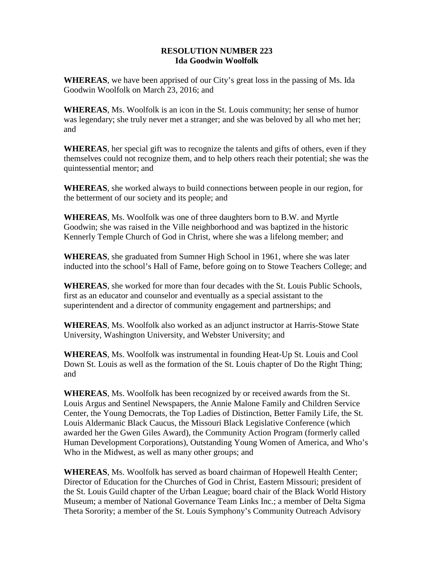## **RESOLUTION NUMBER 223 Ida Goodwin Woolfolk**

**WHEREAS**, we have been apprised of our City's great loss in the passing of Ms. Ida Goodwin Woolfolk on March 23, 2016; and

**WHEREAS**, Ms. Woolfolk is an icon in the St. Louis community; her sense of humor was legendary; she truly never met a stranger; and she was beloved by all who met her; and

**WHEREAS**, her special gift was to recognize the talents and gifts of others, even if they themselves could not recognize them, and to help others reach their potential; she was the quintessential mentor; and

**WHEREAS**, she worked always to build connections between people in our region, for the betterment of our society and its people; and

**WHEREAS**, Ms. Woolfolk was one of three daughters born to B.W. and Myrtle Goodwin; she was raised in the Ville neighborhood and was baptized in the historic Kennerly Temple Church of God in Christ, where she was a lifelong member; and

**WHEREAS**, she graduated from Sumner High School in 1961, where she was later inducted into the school's Hall of Fame, before going on to Stowe Teachers College; and

**WHEREAS**, she worked for more than four decades with the St. Louis Public Schools, first as an educator and counselor and eventually as a special assistant to the superintendent and a director of community engagement and partnerships; and

**WHEREAS**, Ms. Woolfolk also worked as an adjunct instructor at Harris-Stowe State University, Washington University, and Webster University; and

**WHEREAS**, Ms. Woolfolk was instrumental in founding Heat-Up St. Louis and Cool Down St. Louis as well as the formation of the St. Louis chapter of Do the Right Thing; and

**WHEREAS**, Ms. Woolfolk has been recognized by or received awards from the St. Louis Argus and Sentinel Newspapers, the Annie Malone Family and Children Service Center, the Young Democrats, the Top Ladies of Distinction, Better Family Life, the St. Louis Aldermanic Black Caucus, the Missouri Black Legislative Conference (which awarded her the Gwen Giles Award), the Community Action Program (formerly called Human Development Corporations), Outstanding Young Women of America, and Who's Who in the Midwest, as well as many other groups; and

**WHEREAS**, Ms. Woolfolk has served as board chairman of Hopewell Health Center; Director of Education for the Churches of God in Christ, Eastern Missouri; president of the St. Louis Guild chapter of the Urban League; board chair of the Black World History Museum; a member of National Governance Team Links Inc.; a member of Delta Sigma Theta Sorority; a member of the St. Louis Symphony's Community Outreach Advisory